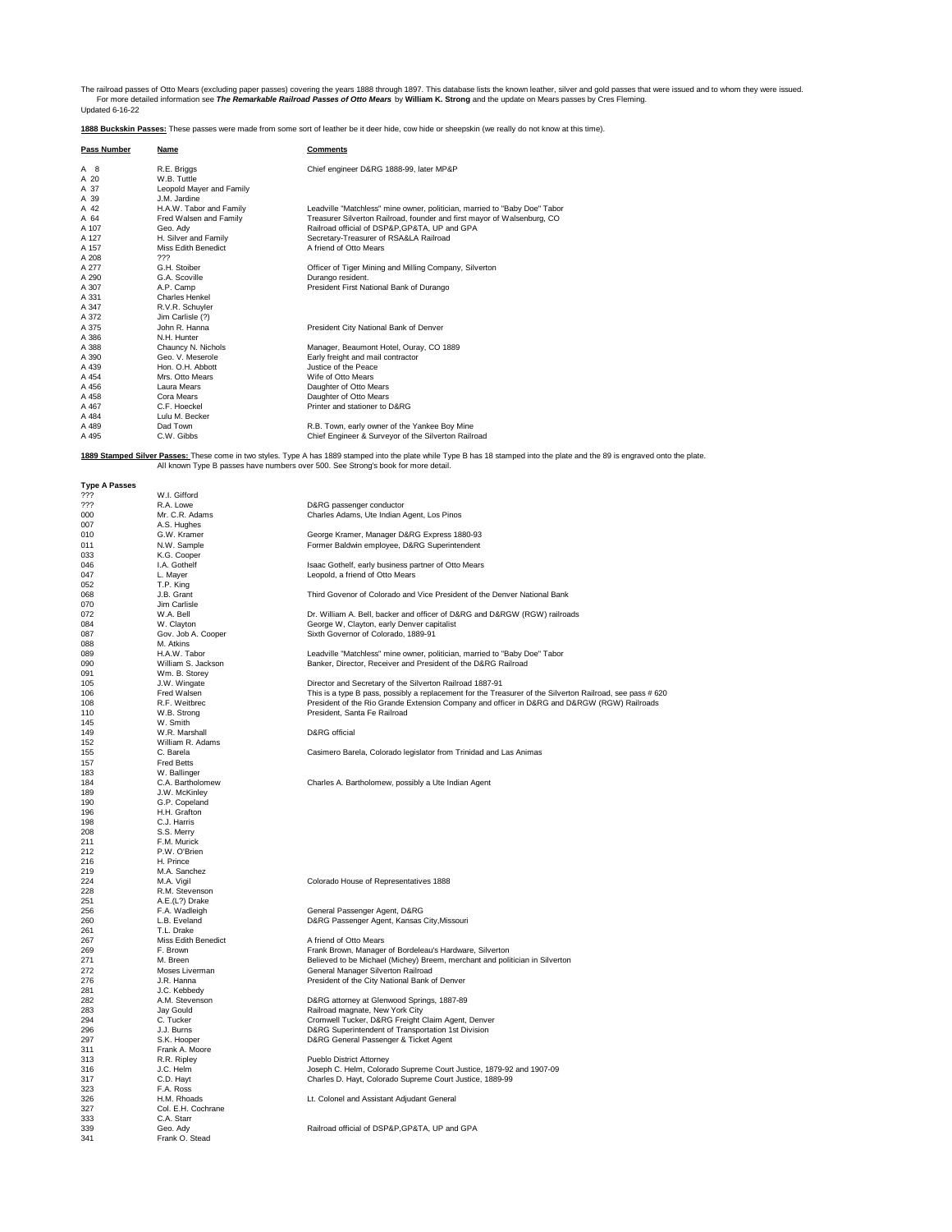The railroad passes of Otto Mears (excluding paper passes) covering the years 1888 through 1897. This database lists the known leather, silver and gold passes that were issued and to whom they were issued.<br>Tor more detaile

**1888 Buckskin Passes:** These passes were made from some sort of leather be it deer hide, cow hide or sheepskin (we really do not know at this time).

| Pass Number          | <u>Name</u>                                                                       | <b>Comments</b>                                                                                                                                                                |
|----------------------|-----------------------------------------------------------------------------------|--------------------------------------------------------------------------------------------------------------------------------------------------------------------------------|
| A 8                  | R.E. Briggs                                                                       | Chief engineer D&RG 1888-99, later MP&P                                                                                                                                        |
| A 20                 | W.B. Tuttle                                                                       |                                                                                                                                                                                |
| A 37                 | Leopold Mayer and Family                                                          |                                                                                                                                                                                |
| A 39                 | J.M. Jardine                                                                      |                                                                                                                                                                                |
| A 42                 | H.A.W. Tabor and Family                                                           | Leadville "Matchless" mine owner, politician, married to "Baby Doe" Tabor                                                                                                      |
| A 64                 | Fred Walsen and Family                                                            | Treasurer Silverton Railroad, founder and first mayor of Walsenburg, CO                                                                                                        |
| A 107                | Geo, Adv                                                                          | Railroad official of DSP&P.GP&TA, UP and GPA                                                                                                                                   |
| A 127                | H. Silver and Family                                                              | Secretary-Treasurer of RSA&LA Railroad                                                                                                                                         |
| A 157<br>A 208       | Miss Edith Benedict<br>???                                                        | A friend of Otto Mears                                                                                                                                                         |
| A 277                | G.H. Stoiber                                                                      | Officer of Tiger Mining and Milling Company, Silverton                                                                                                                         |
| A 290                | G.A. Scoville                                                                     | Durango resident.                                                                                                                                                              |
| A 307                | A.P. Camp                                                                         | President First National Bank of Durango                                                                                                                                       |
| A 331                | <b>Charles Henkel</b>                                                             |                                                                                                                                                                                |
| A 347                | R.V.R. Schuyler                                                                   |                                                                                                                                                                                |
| A 372                | Jim Carlisle (?)                                                                  |                                                                                                                                                                                |
| A 375                | John R. Hanna                                                                     | President City National Bank of Denver                                                                                                                                         |
| A 386<br>A 388       | N.H. Hunter<br>Chauncy N. Nichols                                                 | Manager, Beaumont Hotel, Ouray, CO 1889                                                                                                                                        |
| A 390                | Geo. V. Meserole                                                                  | Early freight and mail contractor                                                                                                                                              |
| A 439                | Hon. O.H. Abbott                                                                  | Justice of the Peace                                                                                                                                                           |
| A 454                | Mrs. Otto Mears                                                                   | Wife of Otto Mears                                                                                                                                                             |
| A 456                | Laura Mears                                                                       | Daughter of Otto Mears                                                                                                                                                         |
| A 458                | Cora Mears                                                                        | Daughter of Otto Mears                                                                                                                                                         |
| A 467                | C.F. Hoeckel                                                                      | Printer and stationer to D&RG                                                                                                                                                  |
| A 484                | Lulu M. Becker<br>Dad Town                                                        |                                                                                                                                                                                |
| A 489<br>A 495       | C.W. Gibbs                                                                        | R.B. Town, early owner of the Yankee Boy Mine<br>Chief Engineer & Surveyor of the Silverton Railroad                                                                           |
|                      |                                                                                   |                                                                                                                                                                                |
|                      | All known Type B passes have numbers over 500. See Strong's book for more detail. | 1889 Stamped Silver Passes: These come in two styles. Type A has 1889 stamped into the plate while Type B has 18 stamped into the plate and the 89 is engraved onto the plate. |
| <b>Type A Passes</b> | W.I. Gifford                                                                      |                                                                                                                                                                                |
| ???<br>???           | R.A. Lowe                                                                         | D&RG passenger conductor                                                                                                                                                       |
| 000                  | Mr. C.R. Adams                                                                    | Charles Adams, Ute Indian Agent, Los Pinos                                                                                                                                     |
| 007                  | A.S. Hughes                                                                       |                                                                                                                                                                                |
| 010                  | G.W. Kramer                                                                       | George Kramer, Manager D&RG Express 1880-93                                                                                                                                    |
| 011                  | N.W. Sample                                                                       | Former Baldwin employee, D&RG Superintendent                                                                                                                                   |
| 033                  | K.G. Cooper                                                                       |                                                                                                                                                                                |
| 046                  | I.A. Gothelf                                                                      | Isaac Gothelf, early business partner of Otto Mears                                                                                                                            |
| 047                  | L. Mayer                                                                          | Leopold, a friend of Otto Mears                                                                                                                                                |
| 052<br>068           | T.P. King<br>J.B. Grant                                                           | Third Govenor of Colorado and Vice President of the Denver National Bank                                                                                                       |
| 070                  | Jim Carlisle                                                                      |                                                                                                                                                                                |
| 072                  | W.A. Bell                                                                         | Dr. William A. Bell, backer and officer of D&RG and D&RGW (RGW) railroads                                                                                                      |
| 084                  | W. Clayton                                                                        | George W, Clayton, early Denver capitalist                                                                                                                                     |
| 087                  | Gov. Job A. Cooper                                                                | Sixth Governor of Colorado, 1889-91                                                                                                                                            |
| 088                  | M. Atkins                                                                         |                                                                                                                                                                                |
| 089                  | H.A.W. Tabor                                                                      | Leadville "Matchless" mine owner, politician, married to "Baby Doe" Tabor                                                                                                      |
| 090                  | William S. Jackson                                                                | Banker, Director, Receiver and President of the D&RG Railroad                                                                                                                  |
| 091<br>105           | Wm. B. Storey<br>J.W. Wingate                                                     | Director and Secretary of the Silverton Railroad 1887-91                                                                                                                       |
| 106                  | Fred Walsen                                                                       | This is a type B pass, possibly a replacement for the Treasurer of the Silverton Railroad, see pass # 620                                                                      |
| 108                  | R.F. Weitbrec                                                                     | President of the Rio Grande Extension Company and officer in D&RG and D&RGW (RGW) Railroads                                                                                    |
| 110                  | W.B. Strong                                                                       | President, Santa Fe Railroad                                                                                                                                                   |
| 145                  | W. Smith                                                                          |                                                                                                                                                                                |
| 149                  | W.R. Marshall                                                                     | D&RG official                                                                                                                                                                  |
| 152                  | William R. Adams                                                                  |                                                                                                                                                                                |
| 155                  | C. Barela                                                                         | Casimero Barela, Colorado legislator from Trinidad and Las Animas                                                                                                              |
| 157<br>183           | <b>Fred Betts</b><br>W. Ballinger                                                 |                                                                                                                                                                                |
| 184                  | C.A. Bartholomew                                                                  | Charles A. Bartholomew, possibly a Ute Indian Agent                                                                                                                            |
| 189                  | J.W. McKinley                                                                     |                                                                                                                                                                                |
| 190                  | G.P. Copeland                                                                     |                                                                                                                                                                                |
| 196                  | H.H. Grafton                                                                      |                                                                                                                                                                                |
| 198                  | C.J. Harris                                                                       |                                                                                                                                                                                |
| 208                  | S.S. Merry                                                                        |                                                                                                                                                                                |
| 211<br>212           | F.M. Murick<br>P.W. O'Brien                                                       |                                                                                                                                                                                |
| 216                  | H. Prince                                                                         |                                                                                                                                                                                |
| 219                  | M.A. Sanchez                                                                      |                                                                                                                                                                                |
| 224                  | M.A. Viail                                                                        | Colorado House of Representatives 1888                                                                                                                                         |
| 228                  | R.M. Stevenson                                                                    |                                                                                                                                                                                |
| 251                  | A.E.(L?) Drake                                                                    |                                                                                                                                                                                |
| 256<br>260           | F.A. Wadleigh<br>L.B. Eveland                                                     | General Passenger Agent, D&RG<br>D&RG Passenger Agent, Kansas City, Missouri                                                                                                   |
| 261                  | T.L. Drake                                                                        |                                                                                                                                                                                |
| 267                  | Miss Edith Benedict                                                               | A friend of Otto Mears                                                                                                                                                         |
| 269                  | F. Brown                                                                          | Frank Brown, Manager of Bordeleau's Hardware, Silverton                                                                                                                        |
| 271                  | M. Breen                                                                          | Believed to be Michael (Michey) Breem, merchant and politician in Silverton                                                                                                    |
| 272                  | Moses Liverman                                                                    | General Manager Silverton Railroad                                                                                                                                             |
| 276                  | J.R. Hanna                                                                        | President of the City National Bank of Denver                                                                                                                                  |
| 281                  | J.C. Kebbedy                                                                      |                                                                                                                                                                                |
| 282                  | A.M. Stevenson                                                                    | D&RG attorney at Glenwood Springs, 1887-89                                                                                                                                     |
| 283<br>294           | Jay Gould<br>C. Tucker                                                            | Railroad magnate, New York City<br>Cromwell Tucker, D&RG Freight Claim Agent, Denver                                                                                           |
| 296                  | J.J. Burns                                                                        | D&RG Superintendent of Transportation 1st Division                                                                                                                             |
| 297                  | S.K. Hooper                                                                       | D&RG General Passenger & Ticket Agent                                                                                                                                          |
| 311                  | Frank A. Moore                                                                    |                                                                                                                                                                                |
| 313                  | R.R. Ripley                                                                       | Pueblo District Attorney                                                                                                                                                       |
| 316                  | J.C. Helm                                                                         | Joseph C. Helm, Colorado Supreme Court Justice, 1879-92 and 1907-09                                                                                                            |
| 317                  | C.D. Hayt                                                                         | Charles D. Hayt, Colorado Supreme Court Justice, 1889-99                                                                                                                       |
| 323                  | F.A. Ross                                                                         |                                                                                                                                                                                |
| 326<br>327           | H.M. Rhoads<br>Col. E.H. Cochrane                                                 | Lt. Colonel and Assistant Adjudant General                                                                                                                                     |
| 333                  | C.A. Starr                                                                        |                                                                                                                                                                                |
| 339                  | Geo. Ady                                                                          | Railroad official of DSP&P, GP&TA, UP and GPA                                                                                                                                  |
| 341                  | Frank O. Stead                                                                    |                                                                                                                                                                                |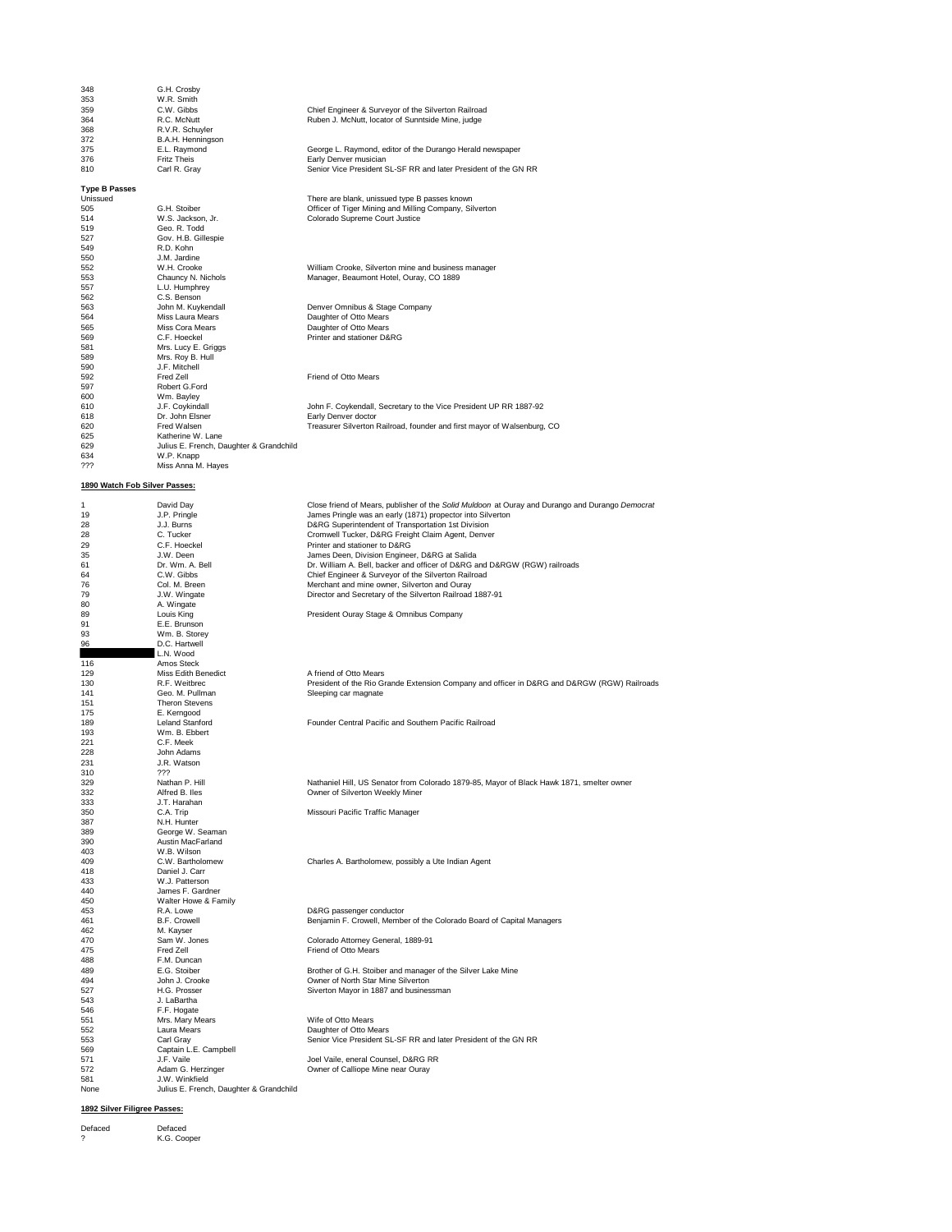| 348                           | G.H. Crosby                                               |                                                                                                 |
|-------------------------------|-----------------------------------------------------------|-------------------------------------------------------------------------------------------------|
| 353                           | W.R. Smith                                                |                                                                                                 |
| 359                           | C.W. Gibbs                                                | Chief Engineer & Surveyor of the Silverton Railroad                                             |
| 364                           | R.C. McNutt                                               | Ruben J. McNutt, locator of Sunntside Mine, judge                                               |
| 368                           | R.V.R. Schuyler                                           |                                                                                                 |
| 372                           | B.A.H. Henningson                                         |                                                                                                 |
| 375                           | E.L. Raymond                                              | George L. Raymond, editor of the Durango Herald newspaper                                       |
| 376<br>810                    | <b>Fritz Theis</b><br>Carl R. Gray                        | Early Denver musician<br>Senior Vice President SL-SF RR and later President of the GN RR        |
|                               |                                                           |                                                                                                 |
| <b>Type B Passes</b>          |                                                           |                                                                                                 |
| Unissued                      |                                                           | There are blank, unissued type B passes known                                                   |
| 505                           | G.H. Stoiber                                              | Officer of Tiger Mining and Milling Company, Silverton                                          |
| 514                           | W.S. Jackson, Jr.                                         | Colorado Supreme Court Justice                                                                  |
| 519                           | Geo. R. Todd                                              |                                                                                                 |
| 527                           | Gov. H.B. Gillespie                                       |                                                                                                 |
| 549                           | R.D. Kohn                                                 |                                                                                                 |
| 550<br>552                    | J.M. Jardine<br>W.H. Crooke                               | William Crooke, Silverton mine and business manager                                             |
| 553                           | Chauncy N. Nichols                                        | Manager, Beaumont Hotel, Ouray, CO 1889                                                         |
| 557                           | L.U. Humphrey                                             |                                                                                                 |
| 562                           | C.S. Benson                                               |                                                                                                 |
| 563                           | John M. Kuykendall                                        | Denver Omnibus & Stage Company                                                                  |
| 564                           | Miss Laura Mears                                          | Daughter of Otto Mears                                                                          |
| 565                           | Miss Cora Mears                                           | Daughter of Otto Mears                                                                          |
| 569                           | C.F. Hoeckel                                              | Printer and stationer D&RG                                                                      |
| 581                           | Mrs. Lucy E. Griggs                                       |                                                                                                 |
| 589<br>590                    | Mrs. Roy B. Hull<br>J.F. Mitchell                         |                                                                                                 |
| 592                           | Fred Zell                                                 | Friend of Otto Mears                                                                            |
| 597                           | Robert G.Ford                                             |                                                                                                 |
| 600                           | Wm. Bayley                                                |                                                                                                 |
| 610                           | J.F. Coykindall                                           | John F. Coykendall, Secretary to the Vice President UP RR 1887-92                               |
| 618                           | Dr. John Elsner                                           | Early Denver doctor                                                                             |
| 620                           | Fred Walsen                                               | Treasurer Silverton Railroad, founder and first mayor of Walsenburg, CO                         |
| 625                           | Katherine W. Lane                                         |                                                                                                 |
| 629                           | Julius E. French, Daughter & Grandchild                   |                                                                                                 |
| 634                           | W.P. Knapp                                                |                                                                                                 |
| ???                           | Miss Anna M. Hayes                                        |                                                                                                 |
|                               |                                                           |                                                                                                 |
| 1890 Watch Fob Silver Passes: |                                                           |                                                                                                 |
| 1                             | David Day                                                 | Close friend of Mears, publisher of the Solid Muldoon at Ouray and Durango and Durango Democrat |
| 19                            | J.P. Pringle                                              | James Pringle was an early (1871) propector into Silverton                                      |
| 28                            | J.J. Burns                                                | D&RG Superintendent of Transportation 1st Division                                              |
| 28                            | C. Tucker                                                 | Cromwell Tucker, D&RG Freight Claim Agent, Denver                                               |
| 29                            | C.F. Hoeckel                                              | Printer and stationer to D&RG                                                                   |
| 35                            | J.W. Deen                                                 | James Deen, Division Engineer, D&RG at Salida                                                   |
| 61                            | Dr. Wm. A. Bell                                           | Dr. William A. Bell, backer and officer of D&RG and D&RGW (RGW) railroads                       |
| 64                            | C.W. Gibbs                                                | Chief Engineer & Surveyor of the Silverton Railroad                                             |
| 76                            | Col. M. Breen                                             | Merchant and mine owner, Silverton and Ouray                                                    |
| 79                            | J.W. Wingate                                              | Director and Secretary of the Silverton Railroad 1887-91                                        |
| 80                            | A. Wingate                                                |                                                                                                 |
| 89<br>91                      | Louis King<br>E.E. Brunson                                | President Ouray Stage & Omnibus Company                                                         |
| 93                            | Wm. B. Storey                                             |                                                                                                 |
| 96                            | D.C. Hartwell                                             |                                                                                                 |
|                               | L.N. Wood                                                 |                                                                                                 |
| 116                           | Amos Steck                                                |                                                                                                 |
| 129                           | Miss Edith Benedict                                       | A friend of Otto Mears                                                                          |
| 130                           | R.F. Weitbrec                                             | President of the Rio Grande Extension Company and officer in D&RG and D&RGW (RGW) Railroads     |
| 141                           | Geo. M. Pullman                                           | Sleeping car magnate                                                                            |
| 151                           | <b>Theron Stevens</b>                                     |                                                                                                 |
| 175                           | E. Kerngood                                               |                                                                                                 |
| 189<br>193                    | <b>Leland Stanford</b><br>Wm. B. Ebbert                   | Founder Central Pacific and Southern Pacific Railroad                                           |
| 221                           | C.F. Meek                                                 |                                                                                                 |
| 228                           | John Adams                                                |                                                                                                 |
| 231                           | J.R. Watson                                               |                                                                                                 |
| 310                           | ???                                                       |                                                                                                 |
| 329                           | Nathan P. Hill                                            | Nathaniel Hill, US Senator from Colorado 1879-85, Mayor of Black Hawk 1871, smelter owner       |
| 332                           | Alfred B. Iles                                            | Owner of Silverton Weekly Miner                                                                 |
| 333                           | J.T. Harahan                                              |                                                                                                 |
| 350                           | C.A. Trip                                                 | Missouri Pacific Traffic Manager                                                                |
| 387                           | N.H. Hunter                                               |                                                                                                 |
| 389<br>390                    | George W. Seaman<br>Austin MacFarland                     |                                                                                                 |
| 403                           | W.B. Wilson                                               |                                                                                                 |
| 409                           | C.W. Bartholomew                                          | Charles A. Bartholomew, possibly a Ute Indian Agent                                             |
| 418                           | Daniel J. Carr                                            |                                                                                                 |
| 433                           | W.J. Patterson                                            |                                                                                                 |
| 440                           | James F. Gardner                                          |                                                                                                 |
| 450                           | Walter Howe & Family                                      |                                                                                                 |
| 453                           | R.A. Lowe                                                 | D&RG passenger conductor                                                                        |
| 461                           | B.F. Crowell                                              | Benjamin F. Crowell, Member of the Colorado Board of Capital Managers                           |
| 462                           | M. Kayser                                                 |                                                                                                 |
| 470                           | Sam W. Jones                                              | Colorado Attorney General, 1889-91                                                              |
| 475                           | Fred Zell                                                 | Friend of Otto Mears                                                                            |
| 488<br>489                    | F.M. Duncan<br>E.G. Stoiber                               | Brother of G.H. Stoiber and manager of the Silver Lake Mine                                     |
| 494                           | John J. Crooke                                            | Owner of North Star Mine Silverton                                                              |
| 527                           | H.G. Prosser                                              | Siverton Mayor in 1887 and businessman                                                          |
| 543                           | J. LaBartha                                               |                                                                                                 |
| 546                           | F.F. Hogate                                               |                                                                                                 |
| 551                           | Mrs. Mary Mears                                           | Wife of Otto Mears                                                                              |
| 552                           | Laura Mears                                               | Daughter of Otto Mears                                                                          |
| 553                           | Carl Gray                                                 | Senior Vice President SL-SF RR and later President of the GN RR                                 |
| 569                           | Captain L.E. Campbell                                     |                                                                                                 |
| 571                           | J.F. Vaile                                                | Joel Vaile, eneral Counsel, D&RG RR                                                             |
| 572                           | Adam G. Herzinger                                         | Owner of Calliope Mine near Ouray                                                               |
| 581<br>None                   | J.W. Winkfield<br>Julius E. French, Daughter & Grandchild |                                                                                                 |
|                               |                                                           |                                                                                                 |
|                               |                                                           |                                                                                                 |

## **1892 Silver Filigree Passes:**

Defaced Defaced ? K.G. Cooper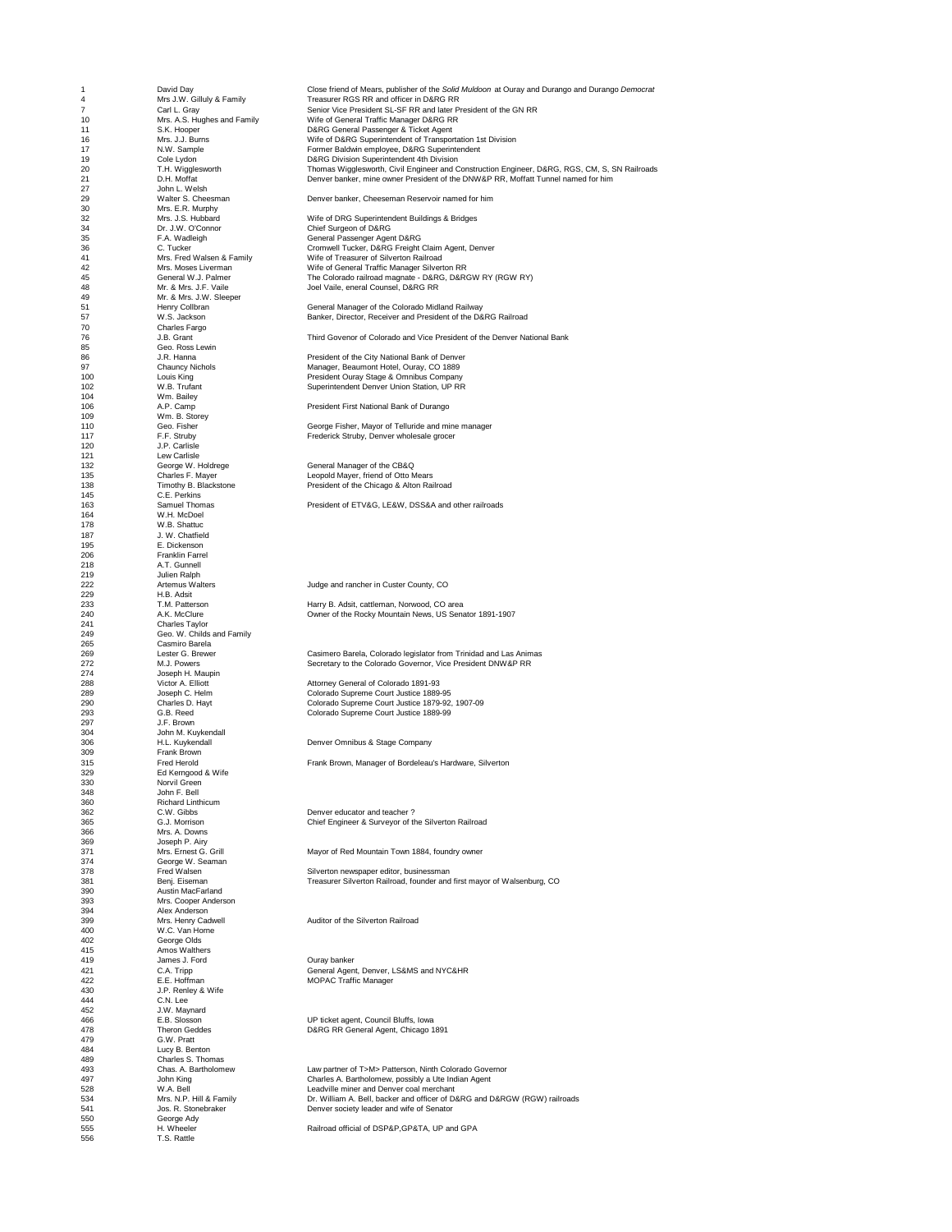**John L. Welsh<br>Walter S. Cheesman** Mrs. E.R. Murphy<br>Mrs. J.S. Hubbard Mr. & Mrs. J.W. Sleeper<br>Henry Collbran<br>W.S. Jackson Charles Fargo<br>J.B. Grant Geo. Ross Lewin<br>J.R. Hanna<br>Chauncy Nichols 104 Wm. Bailey<br>
106 A.P. Camp<br>
109 Wm. B. Sto<br>
110 Geo. Fisher<br>
F. Studby<br>
17 17 J.P. Carlisle Wm. B. Storey<br>Geo. Fisher<br>F.F. Struby 145 C.E. Perkins<br>
163 Samuel Thomas<br>
164 W.H. McDoel<br>
178 J. W. Chattuc<br>
187 J. W. Chattiel<br>
195 E. Dickenson<br>
197 Fanklin Farrel<br>
218 A.T. Gunnell W.H. McDoel W.B. Shattuc J. W. Chatfield E. Dickenson E: Bickerson 218 A.T. Gunnell<br>
219 Julien Ralph<br>
222 Artemus Washi<br>
233 T.M. Patters<br>
240 A.K. McClure 219 Julien Ralph 229 H.B. Adsit 241 Charles Taylor 249 Geo. W. Childs and Family 265 Casmiro Barela<br>269 Lester G. Brewer 274 Joseph H. Maupin<br>
288 Joseph H. Maupin<br>
299 Joseph C. Helm<br>
290 Charles D. Hayt<br>
297 J. F. Brown<br>
304 John M. Kuykenda<br>
306 H. L. Kuykendal<br>
207 J. F. Brown<br>
207 H. Kuykendal<br>
207 H. Kuykendal<br>
208 H. Kuykendal 297 J.F. Brown 304 John M. Kuykendall 309 Frank Brown<br>315 Fred Herold<br>329 Ed Kerngood 329 Ed Kerngood & Wife<br>348 Morvil Green<br>348 John F. Bell<br>360 C. W. Gibbs<br>365 C. J. Morrison<br>366 Mrs. A. Downs<br>379 Joseph P. Airy<br>371 Mrs. Ernest G. Grill Norvil Green 348 John F. Bell Richard Linthicum<br>C.W. Gibbs Mrs. A. Downs Joseph P. Airy<br>Mrs. Ernest G. Grill George W. Seaman<br>Fred Walsen Benj. Eiseman<br>Austin MacFarland Mrs. Cooper Anderson Alex Anderson<br>Mrs. Henry Cadwell W.C. Van Horne George Olds 415 Amos Walthers<br>419 James J. Ford<br>421 C.A. Tripp James J. Ford<br>C.A. Tripp 430 J.P. Renley & Wife 444 C.N. Lee J.W. Luc<br>L.W. Maynard<br>E.B. Slosson 479 G.W. Pratt<br>484 Lucy B. Be<br>489 Charles S. A. Be<br>493 Chas. A. Bell<br>534 Mrs. N.P. H 484 Lucy B. Benton 489 Charles S. Thomas 541 Jos. R. Stonebraker Denver society leader and wife of Senator Jos. R. Stonebraker Denver society leader and wife of Senator<br>550 George Ady 550 George Ady<br>555 H. Wheeler<br>556 T.S. Rattle 556 Ftd<br>H. Wheeler<br>T.S. Rattle

1 David Day Close friend of Mears, publisher of the *Solid Muldoon* at Ouray and Durango and Durango *Democrat*  4 Mrs J.W. Gilluly & Family Coose in the Consection of the Consection of the Consection of the Consection of the Consection of the Consection of the Consection of the Consection of the Consection of the Consection of the C 7 Carl L. Gray Senior Vice President SL-SF RR and later President of the GN RR 10 Mrs. A.S. Hughes and Family Wife of General Traffic Manager D&RG RR 11 S.K. Hooper D&RG General Passenger & Ticket Agent 16 Mrs. J.J. Burns Wife of D&RG Superintendent of Transportation 1st Division 17 S.K. Hooper<br>
16 M.K. Johnes Wife of D&RG General Passenger & Ticket Agent<br>
16 M.W. Sample<br>
16 N.W. Sample<br>
17 N.W. Sample<br>
17 N.W. Sample<br>
19 Cole Lydon<br>
19 Cole Lydon<br>
19 Cole Lydon<br>
19 Cole Lydon<br>
19 Cole Lydon<br>
19 Jo D&RG Division Superintendent 4th Division 20 T.H. Wigglesworth Thomas Wigglesworth Thomas Wigglesworth Thomas Wigglesworth The Thomas Wigglesworth Thomas Wigglesworth Thomas Wigglesworth Thomas Wigglesworth Thomas Wigglesworth Thomas Wigglesworth Depression of the 21 D.H. Moffat Denver banker, mine owner President of the DNW&P RR, Moffatt Tunnel named for him Denver banker, Cheeseman Reservoir named for him 32 Mrs. J.S. Hubbard<br>34 Dr. J.W. O'Connor Chief Surgeon of D&RG<br>35 F.A. Wadleigh General Passenger Agent D&RG<br>C. Tucker C. Tucker Cromwell Tucker, D&RG Freight Claim Agent, Denver 41 Mrs. Fred Walsen & Family Wife of Treasurer of Silverton Railroad 42 Mrs. Moses Liverman Wife of General Traffic Manager Silverton RR 45 General W.J. Palmer In the Colorado railroad magnate - D&RG, D&RGW RY (RGW RY)<br>48 Mr. & Mrs. J.F. Vaile Joel Vaile, eneral Counsel, D&RG RR General Manager of the Colorado Midland Railway **Banker, Director, Receiver and President of the D&RG Railroad** Third Govenor of Colorado and Vice President of the Denver National Bank 86 J.R. Hanna President of the City National Bank of Denver 97 Chauncy Nichols Manager, Beaumont Hotel, Ouray, CO 1889 100 Louis King President Ouray Stage & Omnibus Company 102 W.B. Trufant Superintendent Denver Union Station, UP RR President First National Bank of Durango George Fisher, Mayor of Telluride and mine manager 117 F.F. Struby<br>
118 Frederick Struby, Denver wholesale grocer<br>
118 Carlisle 120 J.P. Carlisle 121 Lew Carlisle 132 George W. Holdrege General Manager of the CB&Q 135 Charles F. Mayer Leopold Mayer, friend of Otto Mears 138 Timothy B. Blackstone President of the Chicago & Alton Railroad President of ETV&G, LE&W, DSS&A and other railroads 222 Artemus Walters Judge and rancher in Custer County, CO 233 T.M. Patterson Harry B. Adsit, cattleman, Norwood, CO area 240 A.K. McClure Owner of the Rocky Mountain News, US Senator 1891-1907 269 Lester G. Brewer Casimero Barela, Colorado legislator from Trinidad and Las Animas<br>272 M.J. Powers Casimero Barelary to the Colorado Governor, Vice President DNW&P RR<br>274 Joseph H. Maupin Secretary to the Colorado Governor, Vice President DNW&P RR Victor A. Elliott<br>
268 Victor A. Elliott Attorney General of Colorado 1891-93<br>
Colorado Supreme Court Justice 1879<br>
Colorado Supreme Court Justice 1879 289 Joseph C. Helm Colorado Supreme Court Justice 1889-95 290 Charles D. Hayt Colorado Supreme Court Justice 1879-92, 1907-09 293 G.B. Reed Colorado Supreme Court Justice 1889-99 306 H.L. Kuykendall Denver Omnibus & Stage Company Frank Brown, Manager of Bordeleau's Hardware, Silverton 362 C.W. Gibbs Denver educator and teacher ?<br>
363 Chief Engineer & Surveyor of the Chief Engineer & Surveyor of the Surveyor of the Surveyor of the Chief Engineer & Surveyor of the Surveyor of the Surveyor of the Surveyor **Chief Engineer & Surveyor of the Silverton Railroad** 371 Mrs. Ernest G. Grill Mayor of Red Mountain Town 1884, foundry owner 378 Fred Walsen Silverton newspaper editor, businessman<br>
378 Fred Walsen Sen, Eisemann Treasurer Silverton Railroad, founder and<br>
390 Austin MacFarland<br>
Mrs. Cooper Anderson<br>
399 Mrs. Henry Cadwell<br>
390 Mrs. Henry Cadwell<br> Treasurer Silverton Railroad, founder and first mayor of Walsenburg, CO Auditor of the Silverton Railroad 419 James J. Ford Ouray banker<br>
422 C.A. Tripp General Agent, Denver, LS&MS and NYC&HR<br>
422 E.E. Hoffman<br>
J.P. Renley & Wife<br>
444 C.N. Lee<br>
1.W. Maynard<br>
466 E.B. Slosson<br>
466 UP ticket agent, Council Bluffs, Iowa MOPAC Traffic Manager 466 E.B. Slosson<br>466 E.B. Slosson UP ticket agent, Council Bluffs, Iowa<br>478 G.W. Pratt Geodes B.W. D&RG RR General Agent, Chicago 1 D&RG RR General Agent, Chicago 1891

Chas. A. Bartholomew Law partner of T>M> Patterson, Ninth Colorado Governor<br>
John King<br>
Chartolah Leadville miner and Denver coal merchant<br>
W.A. Bell 497 John King<br>1978 - John King Charles A. Bartholomew, possibly a Ute Indian Agent<br>1984 - Mrs. N.P. Hill & Family - Dr. William A. Bell, backer and officer of D&RG and D&RGW (RGW) railroads

Railroad official of DSP&P,GP&TA, UP and GPA